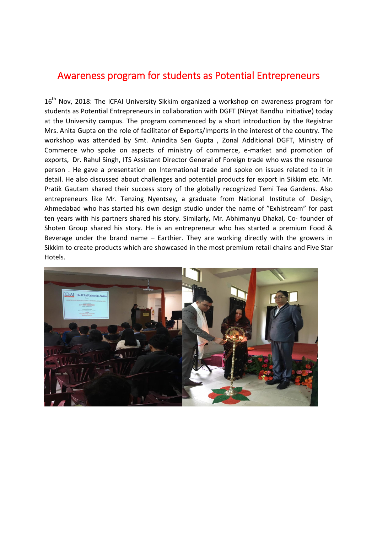## Awareness program for students as Potential Entrepreneurs

16<sup>th</sup> Nov, 2018: The ICFAI University Sikkim organized a workshop on awareness program for students as Potential Entrepreneurs in collaboration with DGFT (Niryat Bandhu Initiative) today at the University campus. The program commenced by a short introduction by the Registrar Mrs. Anita Gupta on the role of facilitator of Exports/Imports in the interest of the country. The workshop was attended by Smt. Anindita Sen Gupta , Zonal Additional DGFT, Ministry of Commerce who spoke on aspects of ministry of commerce, e-market and promotion of exports, Dr. Rahul Singh, ITS Assistant Director General of Foreign trade who was the resource person . He gave a presentation on International trade and spoke on issues related to it in detail. He also discussed about challenges and potential products for export in Sikkim etc. Mr. Pratik Gautam shared their success story of the globally recognized Temi Tea Gardens. Also entrepreneurs like Mr. Tenzing Nyentsey, a graduate from National Institute of Design, Ahmedabad who has started his own design studio under the name of "Exhistream" for past ten years with his partners shared his story. Similarly, Mr. Abhimanyu Dhakal, Co- founder of Shoten Group shared his story. He is an entrepreneur who has started a premium Food & Beverage under the brand name – Earthier. They are working directly with the growers in Sikkim to create products which are showcased in the most premium retail chains and Five Star Hotels.